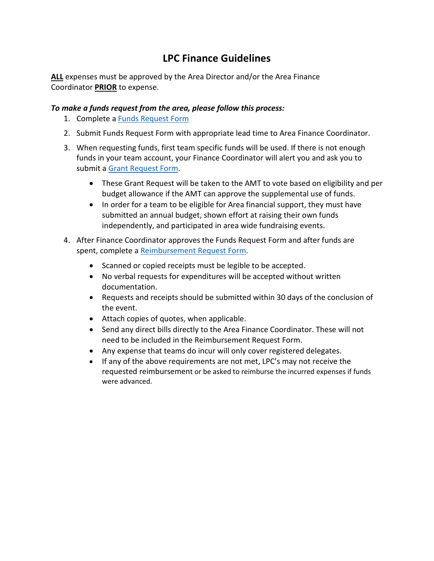## **LPC Finance Guidelines**

**ALL** expenses must be approved by the Area Director and/or the Area Finance Coordinator **PRIOR** to expense.   

## *To make a funds request from the area, please follow this process:*

- 1. Complete a Funds [Request](https://www.somt.org/wp-content/uploads/2020/11/Funds-Request-Form.xlsx) Form
- 2. Submit Funds Request Form with appropriate lead time to Area Finance Coordinator.
- 3. When requesting funds, first team specific funds will be used. If there is not enough funds in your team account, your Finance Coordinator will alert you and ask you to submit a [Grant Request Form.](https://www.somt.org/wp-content/uploads/2020/11/Grant-Request-Form.xlsx)
	- These Grant Request will be taken to the AMT to vote based on eligibility and per budget allowance if the AMT can approve the supplemental use of funds.
	- In order for a team to be eligible for Area financial support, they must have submitted an annual budget, shown effort at raising their own funds independently, and participated in area wide fundraising events.
- 4. After Finance Coordinator approves the Funds Request Form and after funds are spent, complete a [Reimbursement](https://www.somt.org/wp-content/uploads/2020/11/Reimbursement-Request-Form.xlsx) Request Form.
	- Scanned or copied receipts must be legible to be accepted.
	- No verbal requests for expenditures will be accepted without written documentation.
	- Requests and receipts should be submitted within 30 days of the conclusion of the event.
	- Attach copies of quotes, when applicable.
	- Send any direct bills directly to the Area Finance Coordinator. These will not need to be included in the Reimbursement Request Form.
	- Any expense that teams do incur will only cover registered delegates.
	- If any of the above requirements are not met, LPC's may not receive the requested reimbursement or be asked to reimburse the incurred expenses if funds were advanced.